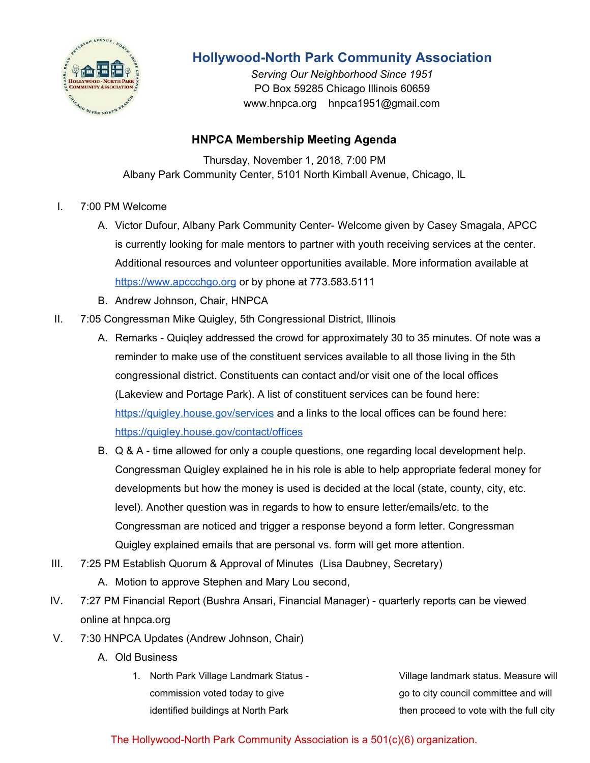

## **Hollywood-North Park Community Association**

*Serving Our Neighborhood Since 1951* PO Box 59285 Chicago Illinois 60659 www.hnpca.org hnpca1951@gmail.com

## **HNPCA Membership Meeting Agenda**

Thursday, November 1, 2018, 7:00 PM Albany Park Community Center, 5101 North Kimball Avenue, Chicago, IL

- I. 7:00 PM Welcome
	- A. Victor Dufour, Albany Park Community Center- Welcome given by Casey Smagala, APCC is currently looking for male mentors to partner with youth receiving services at the center. Additional resources and volunteer opportunities available. More information available at [https://www.apccchgo.org](https://www.apccchgo.org/) or by phone at 773.583.5111
	- B. Andrew Johnson, Chair, HNPCA
- II. 7:05 Congressman Mike Quigley, 5th Congressional District, Illinois
	- A. Remarks Quiqley addressed the crowd for approximately 30 to 35 minutes. Of note was a reminder to make use of the constituent services available to all those living in the 5th congressional district. Constituents can contact and/or visit one of the local offices (Lakeview and Portage Park). A list of constituent services can be found here: <https://quigley.house.gov/services> and a links to the local offices can be found here: <https://quigley.house.gov/contact/offices>
	- B. Q & A time allowed for only a couple questions, one regarding local development help. Congressman Quigley explained he in his role is able to help appropriate federal money for developments but how the money is used is decided at the local (state, county, city, etc. level). Another question was in regards to how to ensure letter/emails/etc. to the Congressman are noticed and trigger a response beyond a form letter. Congressman Quigley explained emails that are personal vs. form will get more attention.
- III. 7:25 PM Establish Quorum & Approval of Minutes (Lisa Daubney, Secretary)
	- A. Motion to approve Stephen and Mary Lou second,
- IV. 7:27 PM Financial Report (Bushra Ansari, Financial Manager) quarterly reports can be viewed online at hnpca.org
- V. 7:30 HNPCA Updates (Andrew Johnson, Chair)
	- A. Old Business
		- 1. North Park Village Landmark Status commission voted today to give identified buildings at North Park Village landmark status. Measure will go to city council committee and will then proceed to vote with the full city

The Hollywood-North Park Community Association is a 501(c)(6) organization.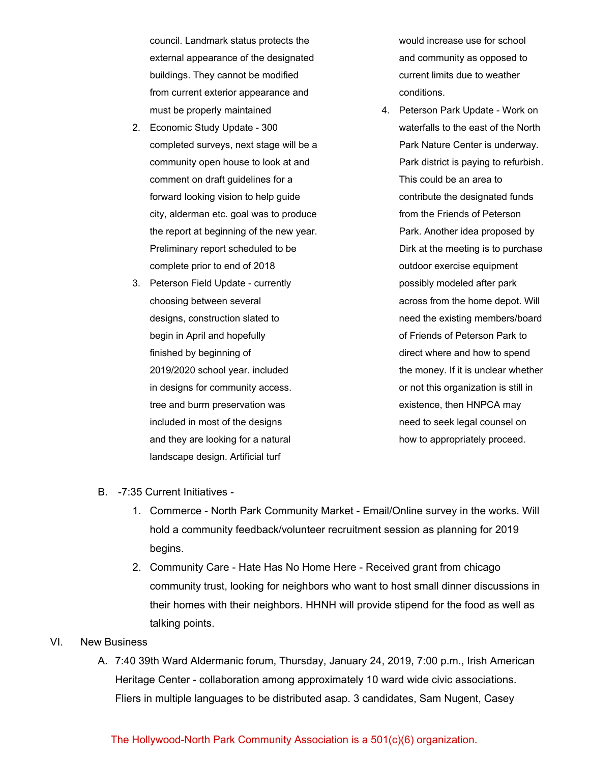council. Landmark status protects the external appearance of the designated buildings. They cannot be modified from current exterior appearance and must be properly maintained

- 2. Economic Study Update 300 completed surveys, next stage will be a community open house to look at and comment on draft guidelines for a forward looking vision to help guide city, alderman etc. goal was to produce the report at beginning of the new year. Preliminary report scheduled to be complete prior to end of 2018
- 3. Peterson Field Update currently choosing between several designs, construction slated to begin in April and hopefully finished by beginning of 2019/2020 school year. included in designs for community access. tree and burm preservation was included in most of the designs and they are looking for a natural landscape design. Artificial turf

would increase use for school and community as opposed to current limits due to weather conditions.

4. Peterson Park Update - Work on waterfalls to the east of the North Park Nature Center is underway. Park district is paying to refurbish. This could be an area to contribute the designated funds from the Friends of Peterson Park. Another idea proposed by Dirk at the meeting is to purchase outdoor exercise equipment possibly modeled after park across from the home depot. Will need the existing members/board of Friends of Peterson Park to direct where and how to spend the money. If it is unclear whether or not this organization is still in existence, then HNPCA may need to seek legal counsel on how to appropriately proceed.

- B. -7:35 Current Initiatives
	- 1. Commerce North Park Community Market Email/Online survey in the works. Will hold a community feedback/volunteer recruitment session as planning for 2019 begins.
	- 2. Community Care Hate Has No Home Here Received grant from chicago community trust, looking for neighbors who want to host small dinner discussions in their homes with their neighbors. HHNH will provide stipend for the food as well as talking points.

## VI. New Business

A. 7:40 39th Ward Aldermanic forum, Thursday, January 24, 2019, 7:00 p.m., Irish American Heritage Center - collaboration among approximately 10 ward wide civic associations. Fliers in multiple languages to be distributed asap. 3 candidates, Sam Nugent, Casey

## The Hollywood-North Park Community Association is a 501(c)(6) organization.